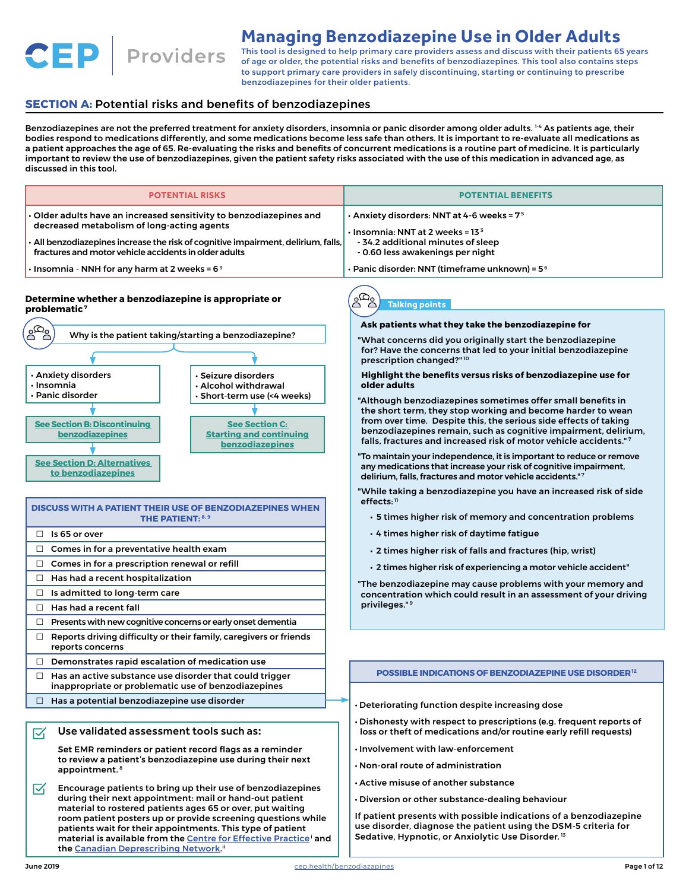**Managing Benzodiazepine Use in Older Adults**

Providers This tool is designed to help primary care providers assess and discuss with their patients 65 years of age or older, the potential risks and benefits of benzodiazepines. This tool also contains steps to support primary care providers in safely discontinuing, starting or continuing to prescribe benzodiazepines for their older patients.

## **SECTION A: Potential risks and benefits of benzodiazepines**

**CEP** 

Benzodiazepines are not the preferred treatment for anxiety disorders, insomnia or panic disorder among older adults. <sup>14</sup> As patients age, their bodies respond to medications differently, and some medications become less safe than others. It is important to re-evaluate all medications as a patient approaches the age of 65. Re-evaluating the risks and benefits of concurrent medications is a routine part of medicine. It is particularly important to review the use of benzodiazepines, given the patient safety risks associated with the use of this medication in advanced age, as discussed in this tool.

| <b>POTENTIAL RISKS</b>                                                                                                                                                                                                                                                                                                                                                                                                               | <b>POTENTIAL BENEFITS</b>                                                                                                                                                                                                                                                                                                                                                                                     |
|--------------------------------------------------------------------------------------------------------------------------------------------------------------------------------------------------------------------------------------------------------------------------------------------------------------------------------------------------------------------------------------------------------------------------------------|---------------------------------------------------------------------------------------------------------------------------------------------------------------------------------------------------------------------------------------------------------------------------------------------------------------------------------------------------------------------------------------------------------------|
| $\cdot$ Older adults have an increased sensitivity to benzodiazepines and<br>decreased metabolism of long-acting agents<br>• All benzodiazepines increase the risk of cognitive impairment, delirium, falls,                                                                                                                                                                                                                         | $\cdot$ Anxiety disorders: NNT at 4-6 weeks = 7 $^{\rm 5}$<br>$\cdot$ Insomnia: NNT at 2 weeks = 13 $^{\rm 3}$<br>- 34.2 additional minutes of sleep                                                                                                                                                                                                                                                          |
| fractures and motor vehicle accidents in older adults<br>$\cdot$ Insomnia - NNH for any harm at 2 weeks = 6 $^{\rm 3}$                                                                                                                                                                                                                                                                                                               | - 0.60 less awakenings per night<br>$\bm{\cdot}$ Panic disorder: NNT (timeframe unknown) = 5 $^{\rm 6}$                                                                                                                                                                                                                                                                                                       |
|                                                                                                                                                                                                                                                                                                                                                                                                                                      |                                                                                                                                                                                                                                                                                                                                                                                                               |
| Determine whether a benzodiazepine is appropriate or<br>$\n  problematic7\n$<br>وهاه<br>Why is the patient taking/starting a benzodiazepine?<br>· Anxiety disorders<br>· Seizure disorders<br>$\cdot$ Insomnia<br>. Alcohol withdrawal                                                                                                                                                                                               | $2^{\Omega}$<br><b>Talking points</b><br>Ask patients what they take the benzodiazepine for<br>"What concerns did you originally start the benzodiazepine<br>for? Have the concerns that led to your initial benzodiazepine<br>prescription changed?" <sup>10</sup><br>Highlight the benefits versus risks of benzodiazepine use for<br>older adults                                                          |
| · Panic disorder<br>· Short-term use (<4 weeks)<br><b>See Section B: Discontinuing</b><br><b>See Section C:</b><br>benzodiazepines<br><b>Starting and continuing</b><br>benzodiazepines                                                                                                                                                                                                                                              | "Although benzodiazepines sometimes offer small benefits in<br>the short term, they stop working and become harder to wean<br>from over time. Despite this, the serious side effects of taking<br>benzodiazepines remain, such as cognitive impairment, delirium,<br>falls, fractures and increased risk of motor vehicle accidents."7<br>"To maintain your independence, it is important to reduce or remove |
| <b>See Section D: Alternatives</b><br>to benzodiazepines<br>DISCUSS WITH A PATIENT THEIR USE OF BENZODIAZEPINES WHEN                                                                                                                                                                                                                                                                                                                 | any medications that increase your risk of cognitive impairment,<br>delirium, falls, fractures and motor vehicle accidents."7<br>"While taking a benzodiazepine you have an increased risk of side<br>$effects:$ <sup>11</sup>                                                                                                                                                                                |
| <b>THE PATIENT: 8, 9</b>                                                                                                                                                                                                                                                                                                                                                                                                             | . 5 times higher risk of memory and concentration problems                                                                                                                                                                                                                                                                                                                                                    |
| $\Box$ Is 65 or over                                                                                                                                                                                                                                                                                                                                                                                                                 | . 4 times higher risk of daytime fatigue                                                                                                                                                                                                                                                                                                                                                                      |
| Comes in for a preventative health exam<br>$\Box$                                                                                                                                                                                                                                                                                                                                                                                    | · 2 times higher risk of falls and fractures (hip, wrist)                                                                                                                                                                                                                                                                                                                                                     |
| Comes in for a prescription renewal or refill<br>$\Box$                                                                                                                                                                                                                                                                                                                                                                              | · 2 times higher risk of experiencing a motor vehicle accident"                                                                                                                                                                                                                                                                                                                                               |
| Has had a recent hospitalization<br>$\Box$                                                                                                                                                                                                                                                                                                                                                                                           | "The benzodiazepine may cause problems with your memory and                                                                                                                                                                                                                                                                                                                                                   |
| Is admitted to long-term care<br>$\Box$<br>Has had a recent fall<br>$\Box$                                                                                                                                                                                                                                                                                                                                                           | concentration which could result in an assessment of your driving<br>privileges." <sup>9</sup>                                                                                                                                                                                                                                                                                                                |
| Presents with new cognitive concerns or early onset dementia<br>$\Box$                                                                                                                                                                                                                                                                                                                                                               |                                                                                                                                                                                                                                                                                                                                                                                                               |
| Reports driving difficulty or their family, caregivers or friends<br>$\Box$<br>reports concerns                                                                                                                                                                                                                                                                                                                                      |                                                                                                                                                                                                                                                                                                                                                                                                               |
| $\Box$ Demonstrates rapid escalation of medication use                                                                                                                                                                                                                                                                                                                                                                               |                                                                                                                                                                                                                                                                                                                                                                                                               |
| Has an active substance use disorder that could trigger<br>$\Box$<br>inappropriate or problematic use of benzodiazepines                                                                                                                                                                                                                                                                                                             | <b>POSSIBLE INDICATIONS OF BENZODIAZEPINE USE DISORDER12</b>                                                                                                                                                                                                                                                                                                                                                  |
| $\Box$ Has a potential benzodiazepine use disorder                                                                                                                                                                                                                                                                                                                                                                                   | . Deteriorating function despite increasing dose                                                                                                                                                                                                                                                                                                                                                              |
| Use validated assessment tools such as:<br>☑                                                                                                                                                                                                                                                                                                                                                                                         | • Dishonesty with respect to prescriptions (e.g. frequent reports of<br>loss or theft of medications and/or routine early refill requests)                                                                                                                                                                                                                                                                    |
| Set EMR reminders or patient record flags as a reminder<br>to review a patient's benzodiazepine use during their next<br>appointment. <sup>8</sup>                                                                                                                                                                                                                                                                                   | . Involvement with law-enforcement<br>$\cdot$ Non-oral route of administration<br>$\cdot$ Active misuse of another substance                                                                                                                                                                                                                                                                                  |
| Encourage patients to bring up their use of benzodiazepines<br>囜<br>during their next appointment: mail or hand-out patient<br>material to rostered patients ages 65 or over, put waiting<br>room patient posters up or provide screening questions while<br>patients wait for their appointments. This type of patient<br>material is available from the Centre for Effective Practice' and<br>the Canadian Deprescribing Network." | • Diversion or other substance-dealing behaviour<br>If patient presents with possible indications of a benzodiazepine<br>use disorder, diagnose the patient using the DSM-5 criteria for<br>Sedative, Hypnotic, or Anxiolytic Use Disorder. <sup>13</sup>                                                                                                                                                     |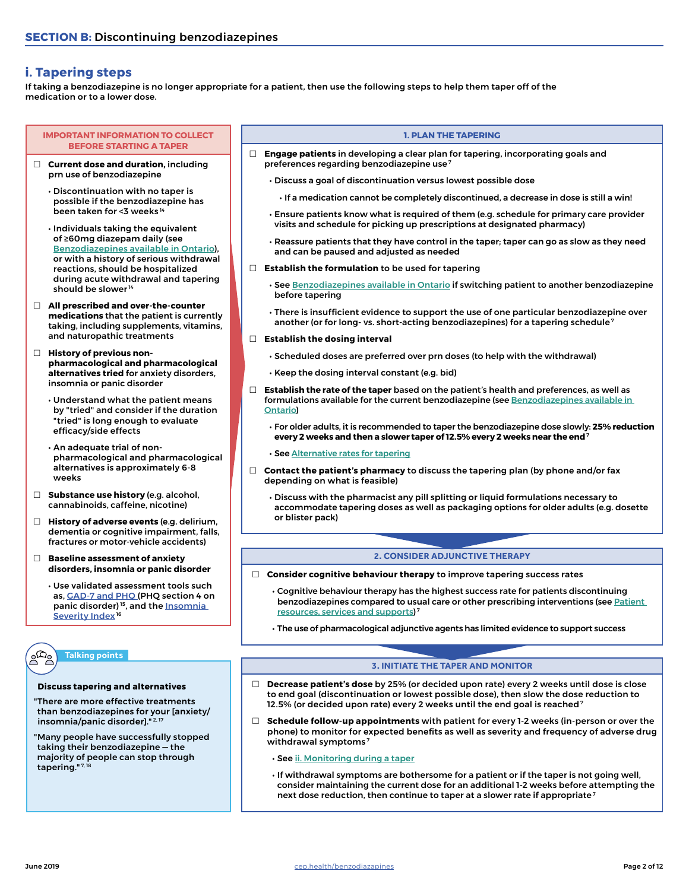## <span id="page-1-0"></span>**i. Tapering steps**

If taking a benzodiazepine is no longer appropriate for a patient, then use the following steps to help them taper off of the medication or to a lower dose.

#### **IMPORTANT INFORMATION TO COLLECT BEFORE STARTING A TAPER**

- **Current dose and duration,** including prn use of benzodiazepine
	- Discontinuation with no taper is possible if the benzodiazepine has been taken for <3 weeks 14
	- Individuals taking the equivalent of ≥60mg diazepam daily (see [Benzodiazepines available in Ontario](#page-4-0)), or with a history of serious withdrawal reactions, should be hospitalized during acute withdrawal and tapering should be slower<sup>14</sup>
- **All prescribed and over-the-counter medications** that the patient is currently taking, including supplements, vitamins, and naturopathic treatments
- **History of previous nonpharmacological and pharmacological alternatives tried** for anxiety disorders, insomnia or panic disorder
	- Understand what the patient means by "tried" and consider if the duration "tried" is long enough to evaluate efficacy/side effects
	- An adequate trial of nonpharmacological and pharmacological alternatives is approximately 6-8 weeks
- **Substance use history** (e.g. alcohol, cannabinoids, caffeine, nicotine)
- **History of adverse events** (e.g. delirium, dementia or cognitive impairment, falls, fractures or motor-vehicle accidents)
- **Baseline assessment of anxiety disorders, insomnia or panic disorder**
	- Use validated assessment tools such as, [GAD-7 and PHQ](https://link.cep.health/benzo2) (PHQ section 4 on panic disorder)<sup>15</sup>, and the **Insomnia** [Severity Index](https://link.cep.health/benzo3)<sup>16</sup>

### **Talking points**

#### **Discuss tapering and alternatives**

- "There are more effective treatments than benzodiazepines for your [anxiety/ insomnia/panic disorder]."<sup>2,17</sup>
- "Many people have successfully stopped taking their benzodiazepine — the majority of people can stop through tapering."<sup>7,18</sup>

#### **1. PLAN THE TAPERING**

- **Engage patients** in developing a clear plan for tapering, incorporating goals and preferences regarding benzodiazepine use 7
	- Discuss a goal of discontinuation versus lowest possible dose
		- If a medication cannot be completely discontinued, a decrease in dose is still a win!
	- Ensure patients know what is required of them (e.g. schedule for primary care provider visits and schedule for picking up prescriptions at designated pharmacy)
	- Reassure patients that they have control in the taper; taper can go as slow as they need and can be paused and adjusted as needed
- **Establish the formulation** to be used for tapering
	- See [Benzodiazepines available in Ontario](#page-4-0) if switching patient to another benzodiazepine before tapering
	- There is insufficient evidence to support the use of one particular benzodiazepine over another (or for long- vs. short-acting benzodiazepines) for a tapering schedule<sup>7</sup>

#### **Establish the dosing interval**

- Scheduled doses are preferred over prn doses (to help with the withdrawal)
- Keep the dosing interval constant (e.g. bid)
- **Establish the rate of the taper** based on the patient's health and preferences, as well as formulations available for the current benzodiazepine (see Benzodiazepines available in [Ontario](#page-4-0))
	- For older adults, it is recommended to taper the benzodiazepine dose slowly: **25% reduction every 2 weeks and then a slower taper of 12.5% every 2 weeks near the end**<sup>7</sup>
	- See [Alternative rates for tapering](#page-2-0)
- **Contact the patient's pharmacy** to discuss the tapering plan (by phone and/or fax depending on what is feasible)
	- Discuss with the pharmacist any pill splitting or liquid formulations necessary to accommodate tapering doses as well as packaging options for older adults (e.g. dosette or blister pack)

#### **2. CONSIDER ADJUNCTIVE THERAPY**

- **Consider cognitive behaviour therapy** to improve tapering success rates
	- Cognitive behaviour therapy has the highest success rate for patients discontinuing benzodiazepines compared to usual care or other prescribing interventions (see [Patient](#page-9-0)  [resources, services and supports](#page-9-0)) 7
	- The use of pharmacological adjunctive agents has limited evidence to support success

### **3. INITIATE THE TAPER AND MONITOR**

- **Decrease patient's dose** by 25% (or decided upon rate) every 2 weeks until dose is close to end goal (discontinuation or lowest possible dose), then slow the dose reduction to 12.5% (or decided upon rate) every 2 weeks until the end goal is reached<sup>7</sup>
- **Schedule follow-up appointments** with patient for every 1-2 weeks (in-person or over the phone) to monitor for expected benefits as well as severity and frequency of adverse drug withdrawal symptoms<sup>7</sup>
	- See [ii. Monitoring during a taper](#page-2-1)
	- If withdrawal symptoms are bothersome for a patient or if the taper is not going well, consider maintaining the current dose for an additional 1-2 weeks before attempting the next dose reduction, then continue to taper at a slower rate if appropriate 7

 $R_{\rm eq}$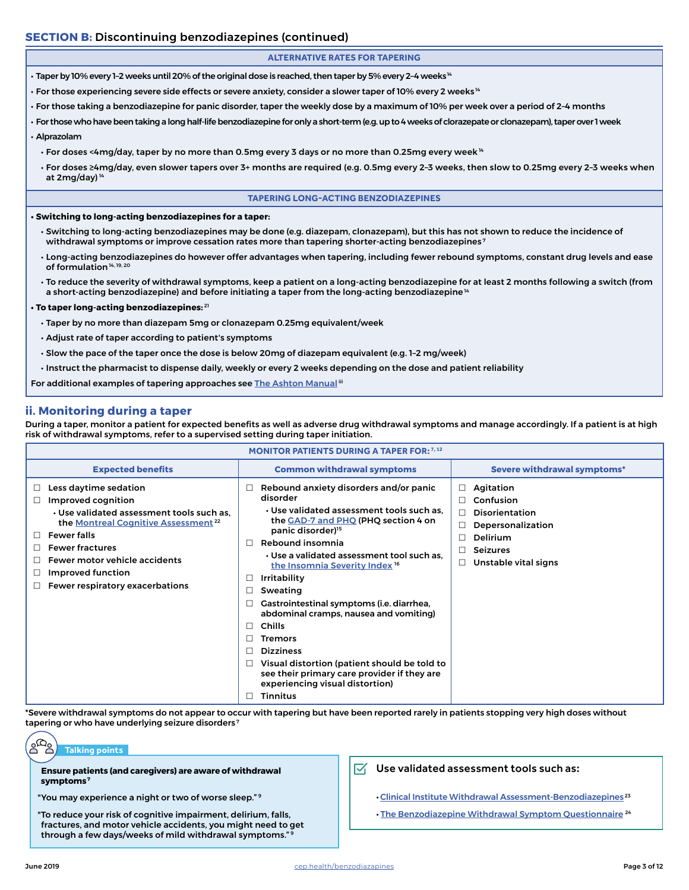## **SECTION B:** Discontinuing benzodiazepines (continued)

### <span id="page-2-0"></span>**ALTERNATIVE RATES FOR TAPERING**

- $\cdot$  Taper by 10% every 1-2 weeks until 20% of the original dose is reached, then taper by 5% every 2-4 weeks  $\rm{^{14}}$
- For those experiencing severe side effects or severe anxiety, consider a slower taper of 10% every 2 weeks 14
- For those taking a benzodiazepine for panic disorder, taper the weekly dose by a maximum of 10% per week over a period of 2–4 months
- For those who have been taking a long half-life benzodiazepine for only a short-term (e.g. up to 4 weeks of clorazepate or clonazepam), taper over 1 week
- Alprazolam
	- For doses <4mg/day, taper by no more than 0.5mg every 3 days or no more than 0.25mg every week  $44$
	- For doses ≥4mg/day, even slower tapers over 3+ months are required (e.g. 0.5mg every 2–3 weeks, then slow to 0.25mg every 2–3 weeks when at  $2mg/day$ )<sup>14</sup>

#### **TAPERING LONG-ACTING BENZODIAZEPINES**

**• Switching to long-acting benzodiazepines for a taper:**

- Switching to long-acting benzodiazepines may be done (e.g. diazepam, clonazepam), but this has not shown to reduce the incidence of withdrawal symptoms or improve cessation rates more than tapering shorter-acting benzodiazepines<sup>7</sup>
- Long-acting benzodiazepines do however offer advantages when tapering, including fewer rebound symptoms, constant drug levels and ease of formulation 14, 19, 20
- To reduce the severity of withdrawal symptoms, keep a patient on a long-acting benzodiazepine for at least 2 months following a switch (from a short-acting benzodiazepine) and before initiating a taper from the long-acting benzodiazepine<sup>14</sup>

#### **• To taper long-acting benzodiazepines:** <sup>21</sup>

- Taper by no more than diazepam 5mg or clonazepam 0.25mg equivalent/week
- Adjust rate of taper according to patient's symptoms
- Slow the pace of the taper once the dose is below 20mg of diazepam equivalent (e.g. 1–2 mg/week)
- Instruct the pharmacist to dispense daily, weekly or every 2 weeks depending on the dose and patient reliability

For additional examples of tapering approaches see [The Ashton Manual](https://link.cep.health/benzo4) ii

### <span id="page-2-1"></span>**ii. Monitoring during a taper**

During a taper, monitor a patient for expected benefits as well as adverse drug withdrawal symptoms and manage accordingly. If a patient is at high risk of withdrawal symptoms, refer to a supervised setting during taper initiation.

|                                                                                                                                                                                                                                                                                                         | <b>MONITOR PATIENTS DURING A TAPER FOR: 7, 12</b>                                                                                                                                                                                                                                                                                                                                                                                                                                                                                                                                                                                                                                           |                                                                                                                                                              |
|---------------------------------------------------------------------------------------------------------------------------------------------------------------------------------------------------------------------------------------------------------------------------------------------------------|---------------------------------------------------------------------------------------------------------------------------------------------------------------------------------------------------------------------------------------------------------------------------------------------------------------------------------------------------------------------------------------------------------------------------------------------------------------------------------------------------------------------------------------------------------------------------------------------------------------------------------------------------------------------------------------------|--------------------------------------------------------------------------------------------------------------------------------------------------------------|
| <b>Expected benefits</b>                                                                                                                                                                                                                                                                                | <b>Common withdrawal symptoms</b>                                                                                                                                                                                                                                                                                                                                                                                                                                                                                                                                                                                                                                                           | <b>Severe withdrawal symptoms*</b>                                                                                                                           |
| Less daytime sedation<br>⊔<br>Improved cognition<br>. Use validated assessment tools such as.<br>the Montreal Cognitive Assessment <sup>22</sup><br><b>Fewer falls</b><br><b>Fewer fractures</b><br><b>Fewer motor vehicle accidents</b><br><b>Improved function</b><br>Fewer respiratory exacerbations | Rebound anxiety disorders and/or panic<br>□<br>disorder<br>• Use validated assessment tools such as.<br>the GAD-7 and PHQ (PHQ section 4 on<br>panic disorder) <sup>15</sup><br>Rebound insomnia<br>$\Box$<br>. Use a validated assessment tool such as.<br>the Insomnia Severity Index <sup>16</sup><br><b>Irritability</b><br>$\Box$<br>Sweating<br>◻<br>Gastrointestinal symptoms (i.e. diarrhea,<br>□<br>abdominal cramps, nausea and vomiting)<br><b>Chills</b><br>$\Box$<br>П<br><b>Tremors</b><br><b>Dizziness</b><br>$\Box$<br>Visual distortion (patient should be told to<br>$\Box$<br>see their primary care provider if they are<br>experiencing visual distortion)<br>Tinnitus | Agitation<br>П.<br>Confusion<br><b>Disorientation</b><br>$\Box$<br>Depersonalization<br><b>Delirium</b><br>П<br><b>Seizures</b><br>П<br>Unstable vital signs |

\*Severe withdrawal symptoms do not appear to occur with tapering but have been reported rarely in patients stopping very high doses without tapering or who have underlying seizure disorders<sup>7</sup>

#### $e^{\Omega}$ g **Talking points**

**Ensure patients (and caregivers) are aware of withdrawal symptoms 7**

"You may experience a night or two of worse sleep." 9

"To reduce your risk of cognitive impairment, delirium, falls, fractures, and motor vehicle accidents, you might need to get through a few days/weeks of mild withdrawal symptoms."<sup>9</sup>

### $\sqrt{\phantom{a}}$  Use validated assessment tools such as:

• [Clinical Institute Withdrawal Assessment-Benzodiazepines](https://link.cep.health/benzo6) 23

• [The Benzodiazepine Withdrawal Symptom Questionnaire](https://link.cep.health/benzo7)<sup>24</sup>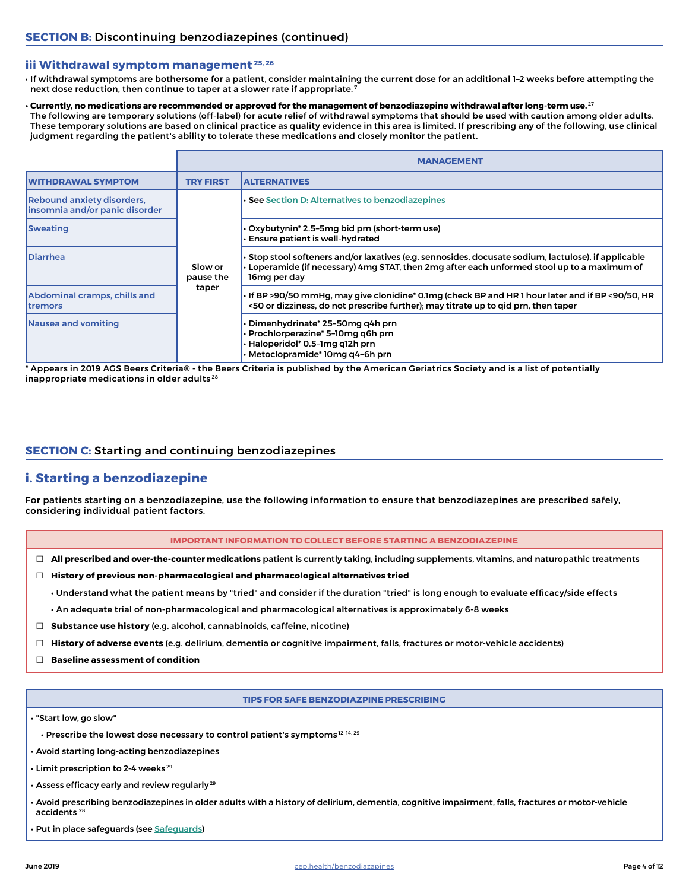### **iii Withdrawal symptom management 25, 26**

• If withdrawal symptoms are bothersome for a patient, consider maintaining the current dose for an additional 1–2 weeks before attempting the next dose reduction, then continue to taper at a slower rate if appropriate.<sup>7</sup>

#### **• Currently, no medications are recommended or approved for the management of benzodiazepine withdrawal after long-term use.** <sup>27</sup>

The following are temporary solutions (off-label) for acute relief of withdrawal symptoms that should be used with caution among older adults. These temporary solutions are based on clinical practice as quality evidence in this area is limited. If prescribing any of the following, use clinical judgment regarding the patient's ability to tolerate these medications and closely monitor the patient.

|                                                                     |                      | <b>MANAGEMENT</b>                                                                                                                                                                                                         |
|---------------------------------------------------------------------|----------------------|---------------------------------------------------------------------------------------------------------------------------------------------------------------------------------------------------------------------------|
| <b>WITHDRAWAL SYMPTOM</b>                                           | <b>TRY FIRST</b>     | <b>ALTERNATIVES</b>                                                                                                                                                                                                       |
| <b>Rebound anxiety disorders,</b><br>insomnia and/or panic disorder |                      | • See Section D: Alternatives to benzodiazepines                                                                                                                                                                          |
| <b>Sweating</b>                                                     |                      | • Oxybutynin* 2.5–5mg bid prn (short-term use)<br><b>Ensure patient is well-hydrated</b>                                                                                                                                  |
| <b>Diarrhea</b>                                                     | Slow or<br>pause the | Stop stool softeners and/or laxatives (e.g. sennosides, docusate sodium, lactulose), if applicable •<br>$\cdot$ Loperamide (if necessary) 4mg STAT, then 2mg after each unformed stool up to a maximum of<br>16mg per day |
| Abdominal cramps, chills and<br><b>Itremors</b>                     | taper                | If BP >90/50 mmHg, may give clonidine* 0.1mg (check BP and HR 1 hour later and if BP <90/50, HR •<br><50 or dizziness, do not prescribe further); may titrate up to gid prn, then taper                                   |
| Nausea and vomiting                                                 |                      | Dimenhydrinate* 25-50mg q4h prn<br>Prochlorperazine* 5-10mg q6h prn<br>· Haloperidol* 0.5-1mg q12h prn<br>· Metoclopramide* 10mg q4-6h prn                                                                                |

\* Appears in 2019 AGS Beers Criteria® - the Beers Criteria is published by the American Geriatrics Society and is a list of potentially inappropriate medications in older adults 28

## <span id="page-3-0"></span>**SECTION C:** Starting and continuing benzodiazepines

## **i. Starting a benzodiazepine**

For patients starting on a benzodiazepine, use the following information to ensure that benzodiazepines are prescribed safely, considering individual patient factors.

#### **IMPORTANT INFORMATION TO COLLECT BEFORE STARTING A BENZODIAZEPINE**

- **All prescribed and over-the-counter medications** patient is currently taking, including supplements, vitamins, and naturopathic treatments
- **History of previous non-pharmacological and pharmacological alternatives tried**
	- Understand what the patient means by "tried" and consider if the duration "tried" is long enough to evaluate efficacy/side effects
	- An adequate trial of non-pharmacological and pharmacological alternatives is approximately 6-8 weeks
- **Substance use history** (e.g. alcohol, cannabinoids, caffeine, nicotine)
- **History of adverse events** (e.g. delirium, dementia or cognitive impairment, falls, fractures or motor-vehicle accidents)
- **Baseline assessment of condition**

#### **TIPS FOR SAFE BENZODIAZPINE PRESCRIBING**

- "Start low, go slow"
	- Prescribe the lowest dose necessary to control patient's symptoms<sup>12, 14, 29</sup>
- Avoid starting long-acting benzodiazepines
- Limit prescription to 2-4 weeks 29
- Assess efficacy early and review regularly<sup>29</sup>
- Avoid prescribing benzodiazepines in older adults with a history of delirium, dementia, cognitive impairment, falls, fractures or motor-vehicle accidents 28
- Put in place safeguards (see [Safeguards](#page-4-1))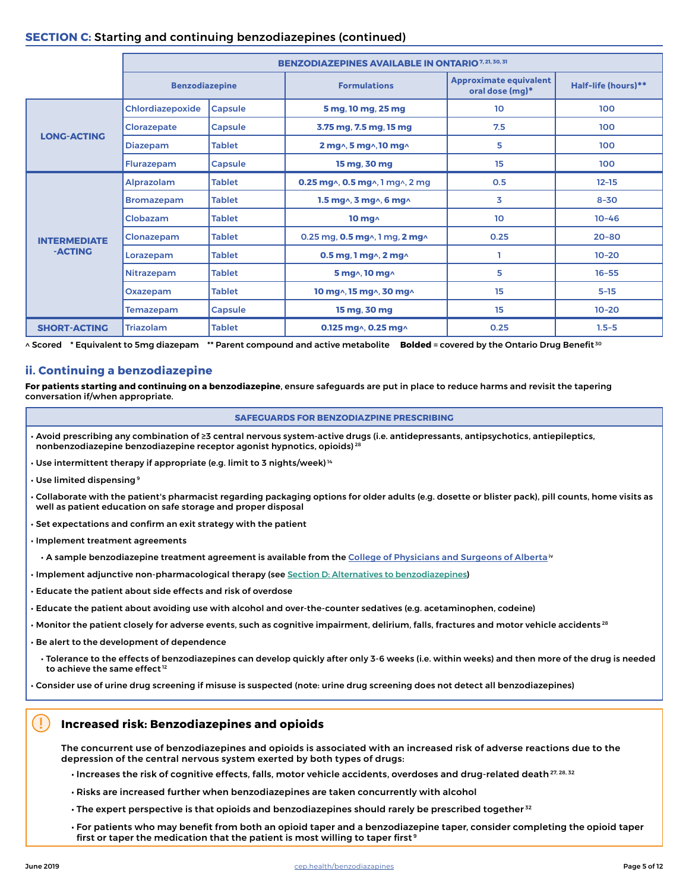## <span id="page-4-0"></span>**SECTION C:** Starting and continuing benzodiazepines (continued)

|                     |                       |                | <b>BENZODIAZEPINES AVAILABLE IN ONTARIO 7, 21, 30, 31</b> |                                                  |                     |
|---------------------|-----------------------|----------------|-----------------------------------------------------------|--------------------------------------------------|---------------------|
|                     | <b>Benzodiazepine</b> |                | <b>Formulations</b>                                       | <b>Approximate equivalent</b><br>oral dose (mg)* | Half-life (hours)** |
|                     | Chlordiazepoxide      | <b>Capsule</b> | 5 mg, 10 mg, 25 mg                                        | 10 <sup>°</sup>                                  | 100                 |
|                     | Clorazepate           | Capsule        | 3.75 mg, 7.5 mg, 15 mg                                    | 7.5                                              | 100                 |
| <b>LONG-ACTING</b>  | <b>Diazepam</b>       | <b>Tablet</b>  | 2 mg^, 5 mg^, 10 mg^                                      | 5                                                | 100                 |
|                     | <b>Flurazepam</b>     | Capsule        | 15 mg, 30 mg                                              | 15                                               | 100                 |
|                     | <b>Alprazolam</b>     | <b>Tablet</b>  | 0.25 mg $\land$ , 0.5 mg $\land$ , 1 mg $\land$ , 2 mg    | 0.5                                              | $12 - 15$           |
|                     | <b>Bromazepam</b>     | <b>Tablet</b>  | 1.5 mg^, 3 mg^, 6 mg^                                     | 3                                                | $8 - 30$            |
|                     | Clobazam              | <b>Tablet</b>  | 10 $mg2$                                                  | 10                                               | $10 - 46$           |
| <b>INTERMEDIATE</b> | Clonazepam            | <b>Tablet</b>  | 0.25 mg, 0.5 mg^, 1 mg, 2 mg^                             | 0.25                                             | $20 - 80$           |
| -ACTING             | Lorazepam             | <b>Tablet</b>  | 0.5 mg, 1 mg $\wedge$ , 2 mg $\wedge$                     |                                                  | $10 - 20$           |
|                     | Nitrazepam            | <b>Tablet</b>  | 5 mg^, 10 mg^                                             | 5                                                | $16 - 55$           |
|                     | Oxazepam              | <b>Tablet</b>  | 10 mg^, 15 mg^, 30 mg^                                    | 15                                               | $5 - 15$            |
|                     | <b>Temazepam</b>      | Capsule        | 15 mg, 30 mg                                              | 15                                               | $10 - 20$           |
| <b>SHORT-ACTING</b> | <b>Triazolam</b>      | <b>Tablet</b>  | 0.125 mg^, 0.25 mg^                                       | 0.25                                             | $1.5 - 5$           |

^ Scored \* Equivalent to 5mg diazepam \*\* Parent compound and active metabolite **Bolded** = covered by the Ontario Drug Benefit<sup>30</sup>

## **ii. Continuing a benzodiazepine**

**For patients starting and continuing on a benzodiazepine**, ensure safeguards are put in place to reduce harms and revisit the tapering conversation if/when appropriate.

#### <span id="page-4-1"></span>**SAFEGUARDS FOR BENZODIAZPINE PRESCRIBING**

- Avoid prescribing any combination of ≥3 central nervous system-active drugs (i.e. antidepressants, antipsychotics, antiepileptics, nonbenzodiazepine benzodiazepine receptor agonist hypnotics, opioids)<sup>28</sup>
- $\cdot$  Use intermittent therapy if appropriate (e.g. limit to 3 nights/week)<sup>14</sup>
- Use limited dispensing 9
- Collaborate with the patient's pharmacist regarding packaging options for older adults (e.g. dosette or blister pack), pill counts, home visits as well as patient education on safe storage and proper disposal
- Set expectations and confirm an exit strategy with the patient
- Implement treatment agreements
	- A sample benzodiazepine treatment agreement is available from the [College of Physicians and Surgeons of Alberta](https://link.cep.health/benzo8) iv
- Implement adjunctive non-pharmacological therapy (see [Section D: Alternatives to benzodiazepines](#page-5-0))
- Educate the patient about side effects and risk of overdose
- Educate the patient about avoiding use with alcohol and over-the-counter sedatives (e.g. acetaminophen, codeine)
- Monitor the patient closely for adverse events, such as cognitive impairment, delirium, falls, fractures and motor vehicle accidents 28
- Be alert to the development of dependence

• Tolerance to the effects of benzodiazepines can develop quickly after only 3-6 weeks (i.e. within weeks) and then more of the drug is needed to achieve the same effect<sup>12</sup>

• Consider use of urine drug screening if misuse is suspected (note: urine drug screening does not detect all benzodiazepines)

### **Increased risk: Benzodiazepines and opioids**

The concurrent use of benzodiazepines and opioids is associated with an increased risk of adverse reactions due to the depression of the central nervous system exerted by both types of drugs:

- $\cdot$  Increases the risk of cognitive effects, falls, motor vehicle accidents, overdoses and drug-related death  $^{27, 28, 32}$
- Risks are increased further when benzodiazepines are taken concurrently with alcohol
- The expert perspective is that opioids and benzodiazepines should rarely be prescribed together<sup>32</sup>
- For patients who may benefit from both an opioid taper and a benzodiazepine taper, consider completing the opioid taper first or taper the medication that the patient is most willing to taper first<sup>9</sup>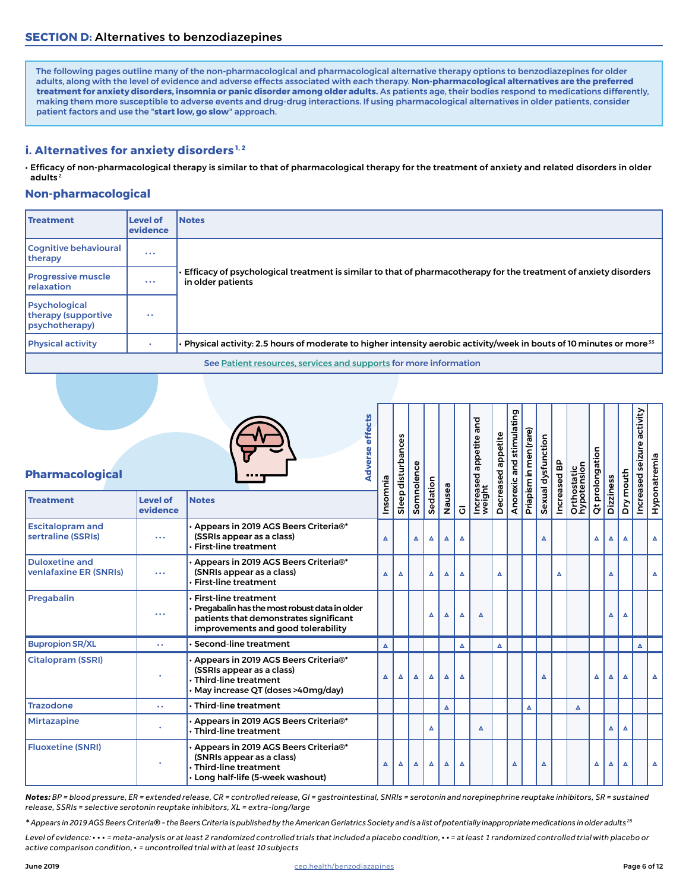<span id="page-5-0"></span>The following pages outline many of the non-pharmacological and pharmacological alternative therapy options to benzodiazepines for older adults, along with the level of evidence and adverse effects associated with each therapy. **Non-pharmacological alternatives are the preferred treatment for anxiety disorders, insomnia or panic disorder among older adults.** As patients age, their bodies respond to medications differently, making them more susceptible to adverse events and drug-drug interactions. If using pharmacological alternatives in older patients, consider patient factors and use the "**start low, go slow**" approach.

## **i. Alternatives for anxiety disorders**<sup>1,2</sup>

• Efficacy of non-pharmacological therapy is similar to that of pharmacological therapy for the treatment of anxiety and related disorders in older adults<sup>2</sup>

## **Non-pharmacological**

| <b>Treatment</b>                                               | <b>Level of</b><br>levidence | <b>Notes</b>                                                                                                                          |
|----------------------------------------------------------------|------------------------------|---------------------------------------------------------------------------------------------------------------------------------------|
| Cognitive behavioural<br>therapy                               |                              |                                                                                                                                       |
| <b>Progressive muscle</b><br><b>Irelaxation</b>                |                              | Efficacy of psychological treatment is similar to that of pharmacotherapy for the treatment of anxiety disorders<br>in older patients |
| <b>Psychological</b><br>therapy (supportive<br>(psychotherapy) | $\bullet$                    |                                                                                                                                       |
| <b>Physical activity</b>                                       |                              | Physical activity: 2.5 hours of moderate to higher intensity aerobic activity/week in bouts of 10 minutes or more <sup>33</sup>       |
|                                                                |                              | See Patient resources, services and supports for more information                                                                     |

| <b>Pharmacological</b>                                 |                             |                                                                                                                                                             | <b>Adverse effects</b> | Sleep disturbances | ပ္ပ      |          |                  |                       | and<br>Increased appetite<br>weight | Decreased appetite | Anorexic and stimulating | Priapism in men (rare) | Sexual dysfunction | Increased BP | Orthostatic<br>hypotension | Qt prolongation |           |                  | seizure activity | Hyponatremia |
|--------------------------------------------------------|-----------------------------|-------------------------------------------------------------------------------------------------------------------------------------------------------------|------------------------|--------------------|----------|----------|------------------|-----------------------|-------------------------------------|--------------------|--------------------------|------------------------|--------------------|--------------|----------------------------|-----------------|-----------|------------------|------------------|--------------|
| <b>Treatment</b>                                       | <b>Level of</b><br>evidence | <b>Notes</b>                                                                                                                                                |                        | Insomnia           | Somnolen | Sedation | Nausea           | $\overline{\text{o}}$ |                                     |                    |                          |                        |                    |              |                            |                 | Dizziness | Dry mouth        | Increased        |              |
| <b>Escitalopram and</b><br>sertraline (SSRIs)          | $\cdots$                    | $\cdot$ Appears in 2019 AGS Beers Criteria®*<br>(SSRIs appear as a class)<br><b>First-line treatment</b>                                                    |                        | $\blacktriangle$   | Δ        | Δ        | $\blacktriangle$ | $\Delta$              |                                     |                    |                          |                        | $\blacktriangle$   |              |                            | Δ               | Δ         | Δ                |                  | Δ            |
| <b>Duloxetine and</b><br><b>venlafaxine ER (SNRIs)</b> | $\cdots$                    | Appears in 2019 AGS Beers Criteria®*<br>(SNRIs appear as a class)<br><b>First-line treatment</b>                                                            |                        | Δ<br>Δ             |          | Δ        | Δ                | Δ                     |                                     | Δ                  |                          |                        |                    | Δ            |                            |                 | Δ         |                  |                  | Δ            |
| Pregabalin                                             | $\cdots$                    | <b>First-line treatment</b><br>Pregabalin has the most robust data in older<br>patients that demonstrates significant<br>improvements and good tolerability |                        |                    |          | Δ        | Δ                | Δ                     | Δ                                   |                    |                          |                        |                    |              |                            |                 | Δ         | Δ                |                  |              |
| <b>Bupropion SR/XL</b>                                 | Ω.                          | Second-line treatment                                                                                                                                       |                        | $\blacktriangle$   |          |          |                  | $\Delta$              |                                     | Δ                  |                          |                        |                    |              |                            |                 |           |                  | A                |              |
| <b>Citalopram (SSRI)</b>                               |                             | Appears in 2019 AGS Beers Criteria®*<br>(SSRIs appear as a class)<br>$\cdot$ Third-line treatment<br>May increase QT (doses >40mg/day)                      |                        | Δ<br>Δ             | Δ        | Δ        | Δ                | Δ                     |                                     |                    |                          |                        | Δ                  |              |                            | Δ               | Δ         | $\blacktriangle$ |                  | Δ            |
| <b>Trazodone</b>                                       | 44                          | $\cdot$ Third-line treatment                                                                                                                                |                        |                    |          |          | $\blacktriangle$ |                       |                                     |                    |                          | Δ                      |                    |              | Δ                          |                 |           |                  |                  |              |
| <b>Mirtazapine</b>                                     |                             | $\cdot$ Appears in 2019 AGS Beers Criteria®*<br>$\cdot$ Third-line treatment                                                                                |                        |                    |          | Δ        |                  |                       | Δ                                   |                    |                          |                        |                    |              |                            |                 | Δ         | Δ                |                  |              |
| <b>Fluoxetine (SNRI)</b>                               |                             | $\boldsymbol{\cdot}$ Appears in 2019 AGS Beers Criteria®*<br>(SNRIs appear as a class)<br>$\cdot$ Third-line treatment<br>· Long half-life (5-week washout) |                        | Δ<br>Δ             | Δ        | Δ        | Δ                | Δ                     |                                     |                    | Δ                        |                        | $\blacktriangle$   |              |                            | Δ               | Δ         | Δ                |                  | Δ            |

*Notes: BP = blood pressure, ER = extended release, CR = controlled release, GI = gastrointestinal, SNRIs = serotonin and norepinephrine reuptake inhibitors, SR = sustained release, SSRIs = selective serotonin reuptake inhibitors, XL = extra-long/large*

*\* Appears in 2019 AGS Beers Criteria® - the Beers Criteria is published by the American Geriatrics Society and is a list of potentially inappropriate medications in older adults 28*

*Level of evidence:* **· · ·** *= meta-analysis or at least 2 randomized controlled trials that included a placebo condition,* **· ·** *= at least 1 randomized controlled trial with placebo or active comparison condition,* **·** *= uncontrolled trial with at least 10 subjects*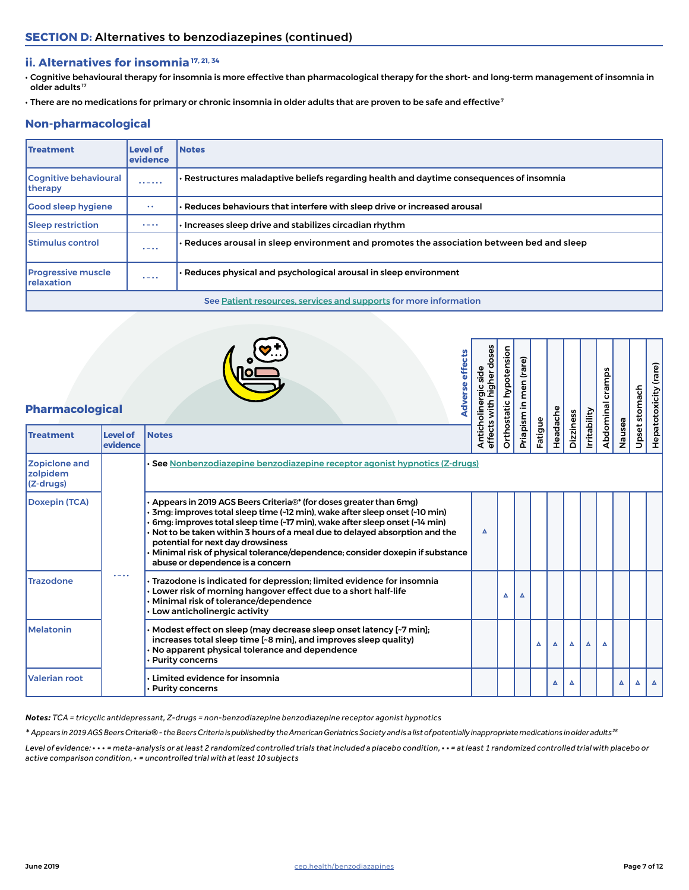## **ii. Alternatives for insomnia 17, 21, 34**

- Cognitive behavioural therapy for insomnia is more effective than pharmacological therapy for the short- and long-term management of insomnia in older adults<sup>17</sup>
- There are no medications for primary or chronic insomnia in older adults that are proven to be safe and effective<sup>7</sup>

## **Non-pharmacological**

| <b>Treatment</b>                        | <b>Level of</b><br>evidence | <b>Notes</b>                                                                                    |
|-----------------------------------------|-----------------------------|-------------------------------------------------------------------------------------------------|
| <b>Cognitive behavioural</b><br>therapy | $\cdots - \cdots$           | · Restructures maladaptive beliefs regarding health and daytime consequences of insomnia        |
| <b>Good sleep hygiene</b>               | $\bullet$ $\bullet$         | Reduces behaviours that interfere with sleep drive or increased arousal                         |
| <b>Sleep restriction</b>                | $\bullet - \bullet \bullet$ | $\cdot$ Increases sleep drive and stabilizes circadian rhythm                                   |
| <b>Stimulus control</b>                 | $\bullet - \bullet \bullet$ | $\cdot$ Reduces arousal in sleep environment and promotes the association between bed and sleep |
| <b>Progressive muscle</b><br>relaxation | $\bullet - \bullet \bullet$ | Reduces physical and psychological arousal in sleep environment                                 |
|                                         |                             | See Patient resources, services and supports for more information                               |

| <b>Pharmacological</b>                        |                             | Adverse effects                                                                                                                                                                                                                                                                                                                                                                                                                                                                  | Anticholinergic side<br>effects with higher doses |   | Orthostatic hypotension<br>men (rare)<br>Priapism in |         |          |           |              | cramps<br>Abdominal |        | stomach | Hepatotoxicity (rare) |
|-----------------------------------------------|-----------------------------|----------------------------------------------------------------------------------------------------------------------------------------------------------------------------------------------------------------------------------------------------------------------------------------------------------------------------------------------------------------------------------------------------------------------------------------------------------------------------------|---------------------------------------------------|---|------------------------------------------------------|---------|----------|-----------|--------------|---------------------|--------|---------|-----------------------|
| <b>Treatment</b>                              | <b>Level of</b><br>evidence | <b>Notes</b>                                                                                                                                                                                                                                                                                                                                                                                                                                                                     |                                                   |   |                                                      | Fatigue | Headache | Dizziness | Irritability |                     | Nausea | Upset:  |                       |
| <b>Zopiclone and</b><br>zolpidem<br>(Z-drugs) |                             | See Nonbenzodiazepine benzodiazepine receptor agonist hypnotics (Z-drugs)                                                                                                                                                                                                                                                                                                                                                                                                        |                                                   |   |                                                      |         |          |           |              |                     |        |         |                       |
| <b>Doxepin (TCA)</b>                          |                             | Appears in 2019 AGS Beers Criteria <sup>®*</sup> (for doses greater than 6mg)<br>3mg: improves total sleep time (~12 min), wake after sleep onset (~10 min)<br>6mg: improves total sleep time (~17 min), wake after sleep onset (~14 min)<br>Not to be taken within 3 hours of a meal due to delayed absorption and the<br>potential for next day drowsiness<br>Minimal risk of physical tolerance/dependence; consider doxepin if substance<br>abuse or dependence is a concern | Δ                                                 |   |                                                      |         |          |           |              |                     |        |         |                       |
| <b>Trazodone</b>                              | $\bullet - \bullet \bullet$ | Trazodone is indicated for depression; limited evidence for insomnia<br>Lower risk of morning hangover effect due to a short half-life<br>Minimal risk of tolerance/dependence<br>Low anticholinergic activity                                                                                                                                                                                                                                                                   |                                                   | Δ | Δ                                                    |         |          |           |              |                     |        |         |                       |
| <b>Melatonin</b>                              |                             | Modest effect on sleep (may decrease sleep onset latency [~7 min];<br>increases total sleep time [~8 min], and improves sleep quality)<br>No apparent physical tolerance and dependence<br><b>Purity concerns</b>                                                                                                                                                                                                                                                                |                                                   |   |                                                      | Δ       | Δ        | ▵         | Δ            | Δ                   |        |         |                       |
| <b>Valerian root</b>                          |                             | Limited evidence for insomnia<br>Purity concerns •                                                                                                                                                                                                                                                                                                                                                                                                                               |                                                   |   |                                                      |         | Δ        | ▵         |              |                     |        |         |                       |

*Notes: TCA = tricyclic antidepressant, Z-drugs = non-benzodiazepine benzodiazepine receptor agonist hypnotics*

*\* Appears in 2019 AGS Beers Criteria® - the Beers Criteria is published by the American Geriatrics Society and is a list of potentially inappropriate medications in older adults 28*

*Level of evidence:* **· · ·** *= meta-analysis or at least 2 randomized controlled trials that included a placebo condition,* **· ·** *= at least 1 randomized controlled trial with placebo or active comparison condition,* **·** *= uncontrolled trial with at least 10 subjects*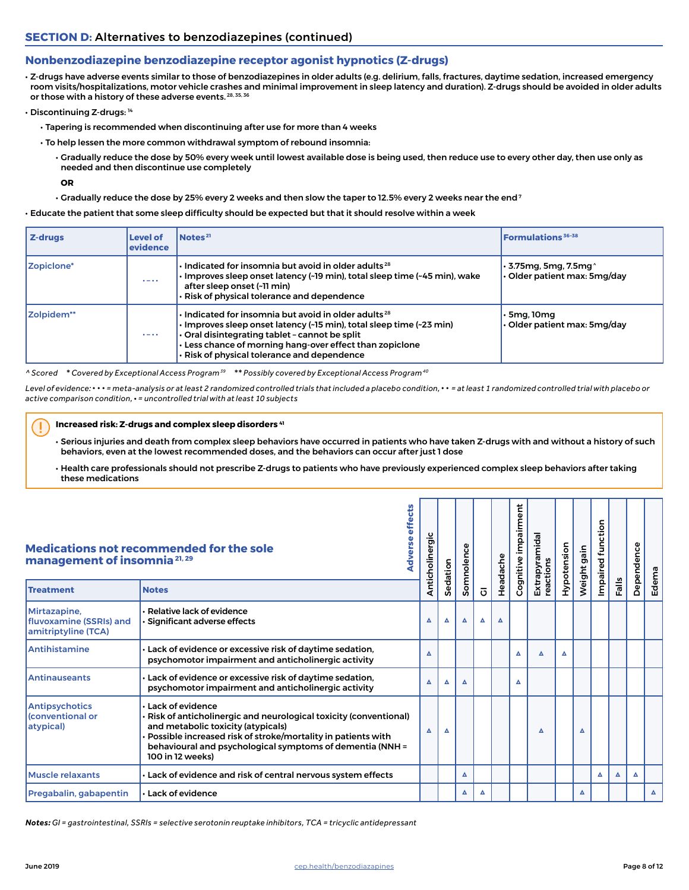## <span id="page-7-0"></span>**Nonbenzodiazepine benzodiazepine receptor agonist hypnotics (Z-drugs)**

• Z-drugs have adverse events similar to those of benzodiazepines in older adults (e.g. delirium, falls, fractures, daytime sedation, increased emergency room visits/hospitalizations, motor vehicle crashes and minimal improvement in sleep latency and duration). Z-drugs should be avoided in older adults or those with a history of these adverse events. 28, 35, 36

- Discontinuing Z-drugs: 14
	- Tapering is recommended when discontinuing after use for more than 4 weeks
	- To help lessen the more common withdrawal symptom of rebound insomnia:
		- Gradually reduce the dose by 50% every week until lowest available dose is being used, then reduce use to every other day, then use only as needed and then discontinue use completely

**OR**

 $\cdot$  Gradually reduce the dose by 25% every 2 weeks and then slow the taper to 12.5% every 2 weeks near the end<sup>7</sup>

• Educate the patient that some sleep difficulty should be expected but that it should resolve within a week

| Z-drugs    | Level of<br>evidence        | Notes <sup>21</sup>                                                                                                                                                                                                                                                                                   | <b>Formulations</b> 36-38                                           |
|------------|-----------------------------|-------------------------------------------------------------------------------------------------------------------------------------------------------------------------------------------------------------------------------------------------------------------------------------------------------|---------------------------------------------------------------------|
| Zopiclone* | $\bullet - \bullet \bullet$ | $\cdot$ Indicated for insomnia but avoid in older adults $^{28}$<br>· Improves sleep onset latency (~19 min), total sleep time (~45 min), wake<br>after sleep onset (~11 min)<br>Risk of physical tolerance and dependence                                                                            | $\cdot$ 3.75mg, 5mg, 7.5mg $^{\circ}$<br>Older patient max: 5mg/day |
| Zolpidem** | $\bullet - \bullet \bullet$ | $\cdot$ Indicated for insomnia but avoid in older adults <sup>28</sup><br>· Improves sleep onset latency (~15 min), total sleep time (~23 min)<br>Oral disintegrating tablet - cannot be split<br>Less chance of morning hang-over effect than zopiclone<br>Risk of physical tolerance and dependence | ∙ 5ma. 10ma<br>∙ Older patient max: 5mg/day                         |

*^ Scored \* Covered by Exceptional Access Program 39 \*\* Possibly covered by Exceptional Access Program 40*

*Level of evidence:* **· · ·** *= meta-analysis or at least 2 randomized controlled trials that included a placebo condition,* **· ·** *= at least 1 randomized controlled trial with placebo or active comparison condition,* **·** *= uncontrolled trial with at least 10 subjects*

#### **Increased risk: Z-drugs and complex sleep disorders 41**

• Serious injuries and death from complex sleep behaviors have occurred in patients who have taken Z-drugs with and without a history of such behaviors, even at the lowest recommended doses, and the behaviors can occur after just 1 dose

• Health care professionals should not prescribe Z-drugs to patients who have previously experienced complex sleep behaviors after taking these medications

|                                                                | Medications not recommended for the sole<br>management of insomnia <sup>21,29</sup><br><b>Notes</b><br>$\cdot$ Relative lack of evidence<br>· Significant adverse effects<br>• Lack of evidence or excessive risk of daytime sedation,<br>psychomotor impairment and anticholinergic activity<br>• Lack of evidence or excessive risk of daytime sedation,<br>psychomotor impairment and anticholinergic activity |                 |          |          |                |          |                      | Extrapyramidal<br>reactions | Hypotension | Weight gain | function<br>Impaired |      | Dependence |          |
|----------------------------------------------------------------|-------------------------------------------------------------------------------------------------------------------------------------------------------------------------------------------------------------------------------------------------------------------------------------------------------------------------------------------------------------------------------------------------------------------|-----------------|----------|----------|----------------|----------|----------------------|-----------------------------|-------------|-------------|----------------------|------|------------|----------|
| <b>Treatment</b>                                               |                                                                                                                                                                                                                                                                                                                                                                                                                   | Anticholinergic | Sedation | Somnolen | $\overline{O}$ | Headache | Cognitive impairment |                             |             |             |                      | Fals |            | Edema    |
| Mirtazapine,<br>fluvoxamine (SSRIs) and<br>amitriptyline (TCA) |                                                                                                                                                                                                                                                                                                                                                                                                                   | Δ               | Δ        | Δ        | Δ              | Δ        |                      |                             |             |             |                      |      |            |          |
| Antihistamine                                                  |                                                                                                                                                                                                                                                                                                                                                                                                                   | Δ               |          |          |                |          | Δ                    | Δ                           | Δ           |             |                      |      |            |          |
| <b>Antinauseants</b>                                           |                                                                                                                                                                                                                                                                                                                                                                                                                   | Δ               | Δ        | Δ        |                |          | Δ                    |                             |             |             |                      |      |            |          |
| <b>Antipsychotics</b><br><b>Conventional or</b><br>atypical)   | · Lack of evidence<br>· Risk of anticholinergic and neurological toxicity (conventional)<br>and metabolic toxicity (atypicals)<br>Possible increased risk of stroke/mortality in patients with<br>behavioural and psychological symptoms of dementia (NNH =<br>100 in 12 weeks)                                                                                                                                   | Δ               | Δ        |          |                |          |                      | Δ                           |             | Δ           |                      |      |            |          |
| <b>Muscle relaxants</b>                                        | . Lack of evidence and risk of central nervous system effects                                                                                                                                                                                                                                                                                                                                                     |                 |          | Δ        |                |          |                      |                             |             |             | Δ                    | Δ    | Δ          |          |
| Pregabalin, gabapentin                                         | $\cdot$ Lack of evidence                                                                                                                                                                                                                                                                                                                                                                                          |                 |          | Δ        | Δ              |          |                      |                             |             | Δ           |                      |      |            | $\Delta$ |

*Notes: GI = gastrointestinal, SSRIs = selective serotonin reuptake inhibitors, TCA = tricyclic antidepressant*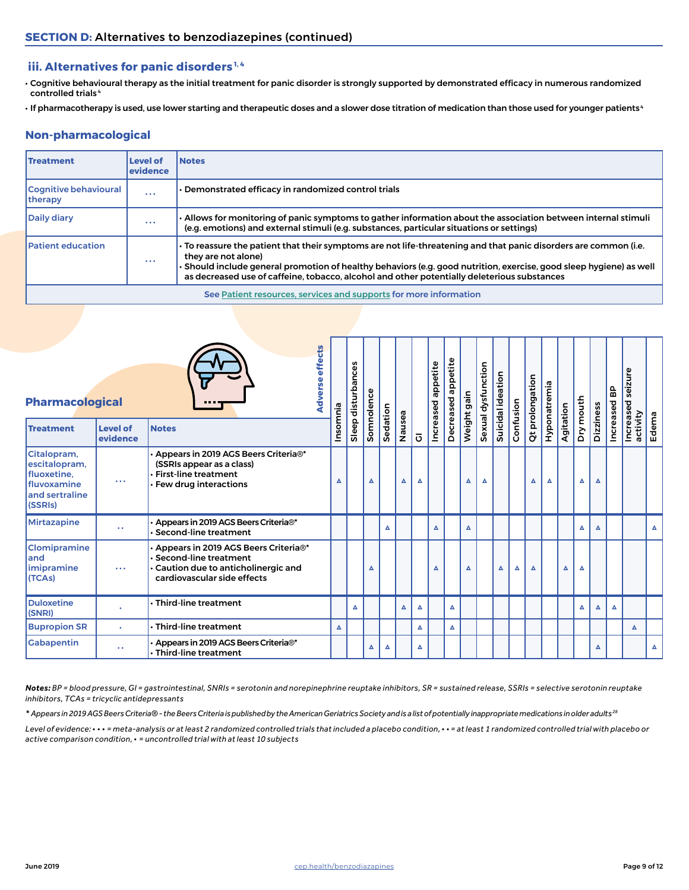## **iii. Alternatives for panic disorders 1, 4**

- Cognitive behavioural therapy as the initial treatment for panic disorder is strongly supported by demonstrated efficacy in numerous randomized controlled trials 4
- If pharmacotherapy is used, use lower starting and therapeutic doses and a slower dose titration of medication than those used for younger patients 4

## **Non-pharmacological**

| <b>Treatment</b>                        | <b>Level of</b><br>evidence | <b>Notes</b>                                                                                                                                                                                                                                                                                                                                                |
|-----------------------------------------|-----------------------------|-------------------------------------------------------------------------------------------------------------------------------------------------------------------------------------------------------------------------------------------------------------------------------------------------------------------------------------------------------------|
| <b>Cognitive behavioural</b><br>therapy | $\cdots$                    | Demonstrated efficacy in randomized control trials                                                                                                                                                                                                                                                                                                          |
| <b>Daily diary</b>                      | $\cdots$                    | Allows for monitoring of panic symptoms to gather information about the association between internal stimuli ›<br>(e.g. emotions) and external stimuli (e.g. substances, particular situations or settings)                                                                                                                                                 |
| <b>Patient education</b>                | $\cdots$                    | • To reassure the patient that their symptoms are not life-threatening and that panic disorders are common (i.e.<br>they are not alone)<br>Should include general promotion of healthy behaviors (e.g. good nutrition, exercise, good sleep hygiene) as well<br>as decreased use of caffeine, tobacco, alcohol and other potentially deleterious substances |
|                                         |                             | See Patient resources, services and supports for more information                                                                                                                                                                                                                                                                                           |

| <b>Pharmacological</b>                                                                           |                               |                                                                                                                                           | effects<br><b>Adverse</b> |                  | Sleep disturbances | Somnolence |          |        |                  | Increased appetite | appetite<br>Decreased | Weight gain | Sexual dysfunction | Suicidal ideation |           | Qt prolongation | Hyponatremia |           | Dry mouth |                  | Increased BP | seizure               |                  |
|--------------------------------------------------------------------------------------------------|-------------------------------|-------------------------------------------------------------------------------------------------------------------------------------------|---------------------------|------------------|--------------------|------------|----------|--------|------------------|--------------------|-----------------------|-------------|--------------------|-------------------|-----------|-----------------|--------------|-----------|-----------|------------------|--------------|-----------------------|------------------|
| <b>Treatment</b>                                                                                 | <b>Level of</b><br>evidence   | <b>Notes</b>                                                                                                                              |                           | Insomnia         |                    |            | Sedation | Nausea | $\overline{O}$   |                    |                       |             |                    |                   | Confusion |                 |              | Agitation |           | Dizziness        |              | Increased<br>activity | Edema            |
| Citalopram,<br>escitalopram,<br>fluoxetine,<br><b>I</b> fluvoxamine<br>and sertraline<br>(SSRIs) | $\bullet$ $\bullet$ $\bullet$ | Appears in 2019 AGS Beers Criteria®*<br>(SSRIs appear as a class)<br>$\cdot$ First-line treatment<br>· Few drug interactions              |                           | $\blacktriangle$ |                    | Δ          |          | Δ      | Δ                |                    |                       | Δ           | Δ                  |                   |           | Δ               | ▵            |           | Δ         | Δ                |              |                       |                  |
| Mirtazapine                                                                                      | $\bullet$ $\bullet$           | Appears in 2019 AGS Beers Criteria®*<br><b>Second-line treatment</b>                                                                      |                           |                  |                    |            | Δ        |        |                  | $\blacktriangle$   |                       | Δ           |                    |                   |           |                 |              |           | Δ         | $\blacktriangle$ |              |                       | $\blacktriangle$ |
| <b>Clomipramine</b><br>and<br>imipramine<br>(TCAs)                                               | $\bullet$ $\bullet$ $\bullet$ | Appears in 2019 AGS Beers Criteria®*<br><b>Second-line treatment</b><br>Caution due to anticholinergic and<br>cardiovascular side effects |                           |                  |                    | Δ          |          |        |                  | Δ                  |                       | Δ           |                    | Δ                 | Δ         | Δ               |              | A         | Δ         |                  |              |                       |                  |
| <b>Duloxetine</b><br>(SNRI)                                                                      |                               | $\cdot$ Third-line treatment                                                                                                              |                           |                  | Δ                  |            |          | Δ      | Δ                |                    | $\blacktriangle$      |             |                    |                   |           |                 |              |           | Δ         | Δ                | Δ            |                       |                  |
| <b>Bupropion SR</b>                                                                              | $\bullet$                     | $\cdot$ Third-line treatment                                                                                                              |                           | $\blacktriangle$ |                    |            |          |        | $\blacktriangle$ |                    | Δ                     |             |                    |                   |           |                 |              |           |           |                  |              | Δ                     |                  |
| Gabapentin                                                                                       | $\ddot{\phantom{a}}$          | Appears in 2019 AGS Beers Criteria®*<br>· Third-line treatment                                                                            |                           |                  |                    | Δ          |          |        | Δ                |                    |                       |             |                    |                   |           |                 |              |           |           | Δ                |              |                       | Δ                |

*Notes: BP = blood pressure, GI = gastrointestinal, SNRIs = serotonin and norepinephrine reuptake inhibitors, SR = sustained release, SSRIs = selective serotonin reuptake inhibitors, TCAs = tricyclic antidepressants* 

*\* Appears in 2019 AGS Beers Criteria® - the Beers Criteria is published by the American Geriatrics Society and is a list of potentially inappropriate medications in older adults 28*

*Level of evidence:* **· · ·** *= meta-analysis or at least 2 randomized controlled trials that included a placebo condition,* **· ·** *= at least 1 randomized controlled trial with placebo or active comparison condition,* **·** *= uncontrolled trial with at least 10 subjects*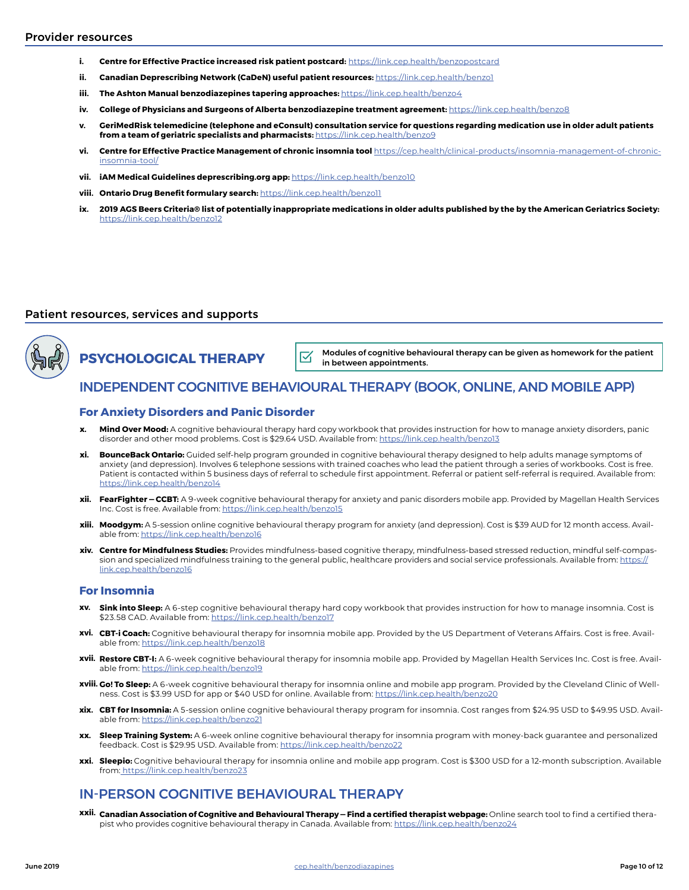- **i. Centre for Effective Practice increased risk patient postcard:** <https://link.cep.health/benzopostcard>
- **ii. Canadian Deprescribing Network (CaDeN) useful patient resources:** <https://link.cep.health/benzo1>
- **iii. The Ashton Manual benzodiazepines tapering approaches:** <https://link.cep.health/benzo4>
- **iv. College of Physicians and Surgeons of Alberta benzodiazepine treatment agreement:** <https://link.cep.health/benzo8>
- **v. GeriMedRisk telemedicine (telephone and eConsult) consultation service for questions regarding medication use in older adult patients from a team of geriatric specialists and pharmacists:** <https://link.cep.health/benzo9>
- **vi. Centre for Effective Practice Management of chronic insomnia tool** [https://cep.health/clinical-products/insomnia-management-of-chronic](https://link.cep.health/insomniatoolpage)[insomnia-tool/](https://link.cep.health/insomniatoolpage)
- **vii. iAM Medical Guidelines deprescribing.org app:** <https://link.cep.health/benzo10>
- **viii. Ontario Drug Benefit formulary search:** <https://link.cep.health/benzo11>
- **ix. 2019 AGS Beers Criteria® list of potentially inappropriate medications in older adults published by the by the American Geriatrics Society:**  <https://link.cep.health/benzo12>

### <span id="page-9-0"></span>Patient resources, services and supports



**PSYCHOLOGICAL THERAPY**

Modules of cognitive behavioural therapy can be given as homework for the patient  $\nabla$ in between appointments.

## INDEPENDENT COGNITIVE BEHAVIOURAL THERAPY (BOOK, ONLINE, AND MOBILE APP)

### **For Anxiety Disorders and Panic Disorder**

- **Mind Over Mood:** A cognitive behavioural therapy hard copy workbook that provides instruction for how to manage anxiety disorders, panic disorder and other mood problems. Cost is \$29.64 USD. Available from:<https://link.cep.health/benzo13> **x.**
- **BounceBack Ontario:** Guided self-help program grounded in cognitive behavioural therapy designed to help adults manage symptoms of anxiety (and depression). Involves 6 telephone sessions with trained coaches who lead the patient through a series of workbooks. Cost is free. Patient is contacted within 5 business days of referral to schedule first appointment. Referral or patient self-referral is required. Available from: <https://link.cep.health/benzo14> **xi.**
- **FearFighter CCBT:** A 9-week cognitive behavioural therapy for anxiety and panic disorders mobile app. Provided by Magellan Health Services **xii.** Inc. Cost is free. Available from: <https://link.cep.health/benzo15>
- **xiii. Moodgym:** A 5-session online cognitive behavioural therapy program for anxiety (and depression). Cost is \$39 AUD for 12 month access. Available from:<https://link.cep.health/benzo16>
- **xiv. Centre for Mindfulness Studies:** Provides mindfulness-based cognitive therapy, mindfulness-based stressed reduction, mindful self-compassion and specialized mindfulness training to the general public, healthcare providers and social service professionals. Available from: [https://](https://link.cep.health/benzo16) [link.cep.health/benzo16](https://link.cep.health/benzo16)

#### **For Insomnia**

- **Sink into Sleep:** A 6-step cognitive behavioural therapy hard copy workbook that provides instruction for how to manage insomnia. Cost is \$23.58 CAD. Available from: <https://link.cep.health/benzo17> **xv.**
- **CBT-i Coach:** Cognitive behavioural therapy for insomnia mobile app. Provided by the US Department of Veterans Affairs. Cost is free. Avail-**xvi.** able from:<https://link.cep.health/benzo18>
- **xvii. Restore CBT-I:** A 6-week cognitive behavioural therapy for insomnia mobile app. Provided by Magellan Health Services Inc. Cost is free. Available from:<https://link.cep.health/benzo19>
- **xviii. Go! To Sleep:** A 6-week cognitive behavioural therapy for insomnia online and mobile app program. Provided by the Cleveland Clinic of Wellness. Cost is \$3.99 USD for app or \$40 USD for online. Available from: <https://link.cep.health/benzo20>
- **CBT for Insomnia:** A 5-session online cognitive behavioural therapy program for insomnia. Cost ranges from \$24.95 USD to \$49.95 USD. Avail-**xix.** able from:<https://link.cep.health/benzo21>
- **Sleep Training System:** A 6-week online cognitive behavioural therapy for insomnia program with money-back guarantee and personalized feedback. Cost is \$29.95 USD. Available from:<https://link.cep.health/benzo22> **xx.**
- **Sleepio:** Cognitive behavioural therapy for insomnia online and mobile app program. Cost is \$300 USD for a 12-month subscription. Available **xxi.** from[: https://link.cep.health/benzo23](https://link.cep.health/benzo23)

## IN-PERSON COGNITIVE BEHAVIOURAL THERAPY

**Canadian Association of Cognitive and Behavioural Therapy — Find a certified therapist webpage:** Online search tool to find a certified thera-**xxii.**pist who provides cognitive behavioural therapy in Canada. Available from:<https://link.cep.health/benzo24>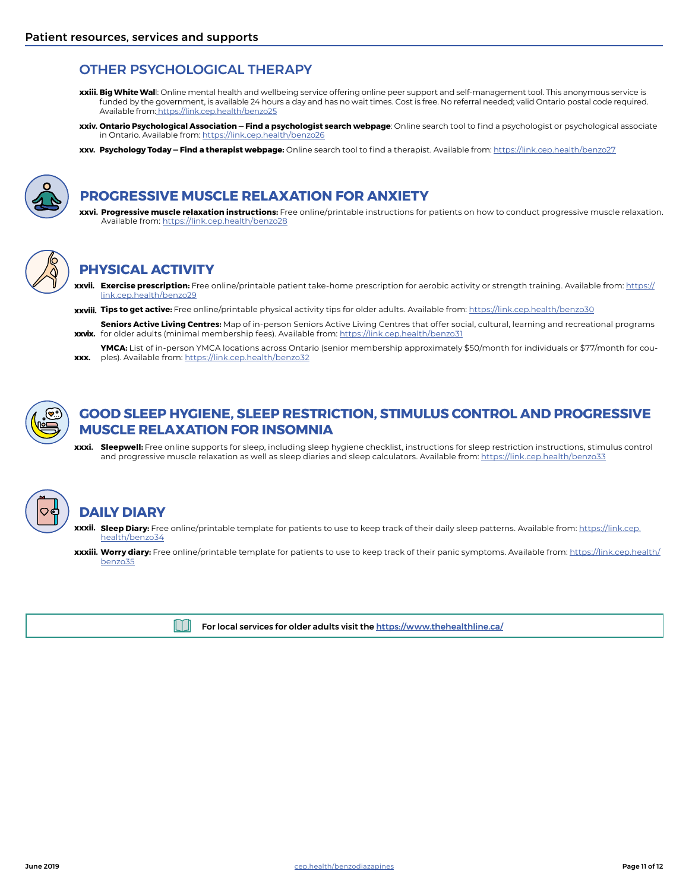## OTHER PSYCHOLOGICAL THERAPY

- **Big White Wal**l: Online mental health and wellbeing service offering online peer support and self-management tool. This anonymous service is **xxiii.** funded by the government, is available 24 hours a day and has no wait times. Cost is free. No referral needed; valid Ontario postal code required. Available from:<https://link.cep.health/benzo25>
- **Ontario Psychological Association Find a psychologist search webpage**: Online search tool to find a psychologist or psychological associate **xxiv.** in Ontario. Available from:<https://link.cep.health/benzo26>
- **Psychology Today Find a therapist webpage:** Online search tool to find a therapist. Available from: <https://link.cep.health/benzo27> **xxv.**



## **PROGRESSIVE MUSCLE RELAXATION FOR ANXIETY**

**Progressive muscle relaxation instructions:** Free online/printable instructions for patients on how to conduct progressive muscle relaxation. **xxvi.** Available from: <https://link.cep.health/benzo28>



# **PHYSICAL ACTIVITY**

- **Exercise prescription:** Free online/printable patient take-home prescription for aerobic activity or strength training. Available from: [https://](https://link.cep.health/benzo29) **xxvii.** [link.cep.health/benzo29](https://link.cep.health/benzo29)
- **Tips to get active:** Free online/printable physical activity tips for older adults. Available from: <https://link.cep.health/benzo30> **xxviii.**
- **Seniors Active Living Centres:** Map of in-person Seniors Active Living Centres that offer social, cultural, learning and recreational programs **xxvix.** for older adults (minimal membership fees). Available from: <u>https://link.cep.health/benzo31</u>
- **YMCA:** List of in-person YMCA locations across Ontario (senior membership approximately \$50/month for individuals or \$77/month for couples). Available from:<https://link.cep.health/benzo32> **xxx.**



## **GOOD SLEEP HYGIENE, SLEEP RESTRICTION, STIMULUS CONTROL AND PROGRESSIVE MUSCLE RELAXATION FOR INSOMNIA**

**Sleepwell:** Free online supports for sleep, including sleep hygiene checklist, instructions for sleep restriction instructions, stimulus control **xxxi.** and progressive muscle relaxation as well as sleep diaries and sleep calculators. Available from: <https://link.cep.health/benzo33>



# **DAILY DIARY**

- **xxxii. Sleep Diary:** Free online/printable template for patients to use to keep track of their daily sleep patterns. Available from: <u>[https://link.cep.](https://link.cep.health/benzo34)</u> [health/benzo34](https://link.cep.health/benzo34)
- **xxxiii. Worry diary:** Free online/printable template for patients to use to keep track of their panic symptoms. Available from: <u>[https://link.cep.health/](https://link.cep.health/benzo35)</u> [benzo35](https://link.cep.health/benzo35)



For local services for older adults visit the [https://www.thehealthline.ca/](https://link.cep.health/benzo36)